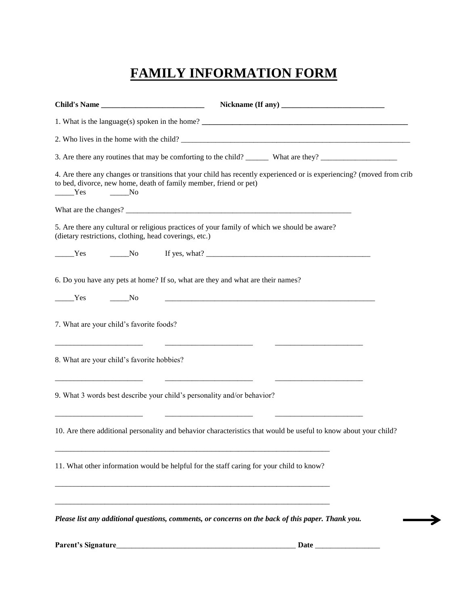## **FAMILY INFORMATION FORM**

|                                                                                                                                                        | Nickname (If any)                                                                                                                                                                                                                                                                                                                                                                  |
|--------------------------------------------------------------------------------------------------------------------------------------------------------|------------------------------------------------------------------------------------------------------------------------------------------------------------------------------------------------------------------------------------------------------------------------------------------------------------------------------------------------------------------------------------|
|                                                                                                                                                        | 1. What is the language(s) spoken in the home? $\frac{1}{\sqrt{1-\frac{1}{2}}}\left\{1-\frac{1}{2}, \frac{1}{2}, \frac{1}{2}, \frac{1}{2}, \frac{1}{2}, \frac{1}{2}, \frac{1}{2}, \frac{1}{2}, \frac{1}{2}, \frac{1}{2}, \frac{1}{2}, \frac{1}{2}, \frac{1}{2}, \frac{1}{2}, \frac{1}{2}, \frac{1}{2}, \frac{1}{2}, \frac{1}{2}, \frac{1}{2}, \frac{1}{2}, \frac{1}{2}, \frac{1}{$ |
|                                                                                                                                                        | 2. Who lives in the home with the child?                                                                                                                                                                                                                                                                                                                                           |
|                                                                                                                                                        |                                                                                                                                                                                                                                                                                                                                                                                    |
| to bed, divorce, new home, death of family member, friend or pet)<br>Yes<br>$\rule{1em}{0.15mm}$ No                                                    | 4. Are there any changes or transitions that your child has recently experienced or is experiencing? (moved from crib                                                                                                                                                                                                                                                              |
|                                                                                                                                                        |                                                                                                                                                                                                                                                                                                                                                                                    |
| 5. Are there any cultural or religious practices of your family of which we should be aware?<br>(dietary restrictions, clothing, head coverings, etc.) |                                                                                                                                                                                                                                                                                                                                                                                    |
| Yes<br>$\rule{1em}{0.15mm}$ No                                                                                                                         |                                                                                                                                                                                                                                                                                                                                                                                    |
| 6. Do you have any pets at home? If so, what are they and what are their names?                                                                        |                                                                                                                                                                                                                                                                                                                                                                                    |
| Yes<br>N <sub>o</sub>                                                                                                                                  | <u> 1980 - Johann Stein, mars an deutscher Stein (d. 1980)</u>                                                                                                                                                                                                                                                                                                                     |
| 7. What are your child's favorite foods?                                                                                                               |                                                                                                                                                                                                                                                                                                                                                                                    |
| 8. What are your child's favorite hobbies?                                                                                                             |                                                                                                                                                                                                                                                                                                                                                                                    |
| 9. What 3 words best describe your child's personality and/or behavior?                                                                                |                                                                                                                                                                                                                                                                                                                                                                                    |
|                                                                                                                                                        | 10. Are there additional personality and behavior characteristics that would be useful to know about your child?                                                                                                                                                                                                                                                                   |
| 11. What other information would be helpful for the staff caring for your child to know?                                                               |                                                                                                                                                                                                                                                                                                                                                                                    |
|                                                                                                                                                        |                                                                                                                                                                                                                                                                                                                                                                                    |
|                                                                                                                                                        | Please list any additional questions, comments, or concerns on the back of this paper. Thank you.                                                                                                                                                                                                                                                                                  |

**Parent's Signature**\_\_\_\_\_\_\_\_\_\_\_\_\_\_\_\_\_\_\_\_\_\_\_\_\_\_\_\_\_\_\_\_\_\_\_\_\_\_\_\_\_\_\_\_\_\_\_ **Date** \_\_\_\_\_\_\_\_\_\_\_\_\_\_\_\_\_